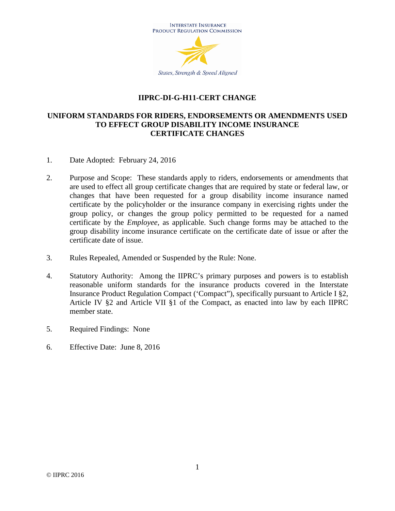

### **IIPRC-DI-G-H11-CERT CHANGE**

### **UNIFORM STANDARDS FOR RIDERS, ENDORSEMENTS OR AMENDMENTS USED TO EFFECT GROUP DISABILITY INCOME INSURANCE CERTIFICATE CHANGES**

- 1. Date Adopted: February 24, 2016
- 2. Purpose and Scope: These standards apply to riders, endorsements or amendments that are used to effect all group certificate changes that are required by state or federal law, or changes that have been requested for a group disability income insurance named certificate by the policyholder or the insurance company in exercising rights under the group policy, or changes the group policy permitted to be requested for a named certificate by the *Employee*, as applicable. Such change forms may be attached to the group disability income insurance certificate on the certificate date of issue or after the certificate date of issue.
- 3. Rules Repealed, Amended or Suspended by the Rule: None.
- 4. Statutory Authority: Among the IIPRC's primary purposes and powers is to establish reasonable uniform standards for the insurance products covered in the Interstate Insurance Product Regulation Compact ('Compact"), specifically pursuant to Article I §2, Article IV §2 and Article VII §1 of the Compact, as enacted into law by each IIPRC member state.
- 5. Required Findings: None
- 6. Effective Date: June 8, 2016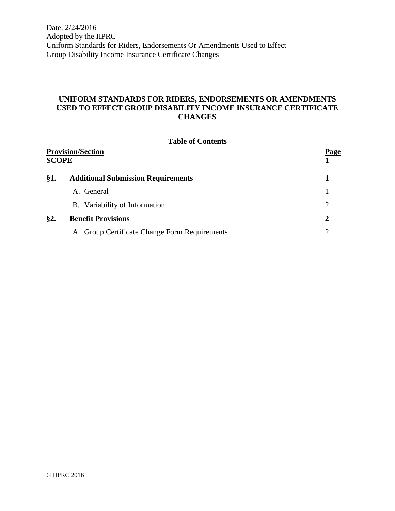Date: 2/24/2016 Adopted by the IIPRC Uniform Standards for Riders, Endorsements Or Amendments Used to Effect Group Disability Income Insurance Certificate Changes

# **UNIFORM STANDARDS FOR RIDERS, ENDORSEMENTS OR AMENDMENTS USED TO EFFECT GROUP DISABILITY INCOME INSURANCE CERTIFICATE CHANGES**

#### **Table of Contents**

| <b>Provision/Section</b><br><b>SCOPE</b> |                                               | Page                        |
|------------------------------------------|-----------------------------------------------|-----------------------------|
| §1.                                      | <b>Additional Submission Requirements</b>     |                             |
|                                          | A. General                                    |                             |
|                                          | B. Variability of Information                 | $\mathcal{D}_{\mathcal{L}}$ |
| §2.                                      | <b>Benefit Provisions</b>                     | 2                           |
|                                          | A. Group Certificate Change Form Requirements |                             |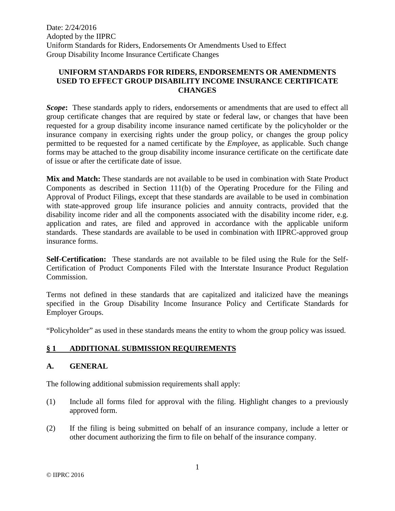Date: 2/24/2016 Adopted by the IIPRC Uniform Standards for Riders, Endorsements Or Amendments Used to Effect Group Disability Income Insurance Certificate Changes

### **UNIFORM STANDARDS FOR RIDERS, ENDORSEMENTS OR AMENDMENTS USED TO EFFECT GROUP DISABILITY INCOME INSURANCE CERTIFICATE CHANGES**

*Scope***:** These standards apply to riders, endorsements or amendments that are used to effect all group certificate changes that are required by state or federal law, or changes that have been requested for a group disability income insurance named certificate by the policyholder or the insurance company in exercising rights under the group policy, or changes the group policy permitted to be requested for a named certificate by the *Employee*, as applicable. Such change forms may be attached to the group disability income insurance certificate on the certificate date of issue or after the certificate date of issue.

**Mix and Match:** These standards are not available to be used in combination with State Product Components as described in Section 111(b) of the Operating Procedure for the Filing and Approval of Product Filings, except that these standards are available to be used in combination with state-approved group life insurance policies and annuity contracts, provided that the disability income rider and all the components associated with the disability income rider, e.g. application and rates, are filed and approved in accordance with the applicable uniform standards. These standards are available to be used in combination with IIPRC-approved group insurance forms.

**Self-Certification:** These standards are not available to be filed using the Rule for the Self-Certification of Product Components Filed with the Interstate Insurance Product Regulation Commission.

Terms not defined in these standards that are capitalized and italicized have the meanings specified in the Group Disability Income Insurance Policy and Certificate Standards for Employer Groups.

"Policyholder" as used in these standards means the entity to whom the group policy was issued.

# **§ 1 ADDITIONAL SUBMISSION REQUIREMENTS**

## **A. GENERAL**

The following additional submission requirements shall apply:

- (1) Include all forms filed for approval with the filing. Highlight changes to a previously approved form.
- (2) If the filing is being submitted on behalf of an insurance company, include a letter or other document authorizing the firm to file on behalf of the insurance company.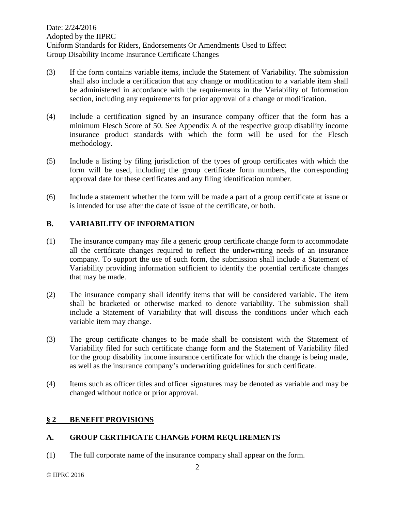- (3) If the form contains variable items, include the Statement of Variability. The submission shall also include a certification that any change or modification to a variable item shall be administered in accordance with the requirements in the Variability of Information section, including any requirements for prior approval of a change or modification.
- (4) Include a certification signed by an insurance company officer that the form has a minimum Flesch Score of 50. See Appendix A of the respective group disability income insurance product standards with which the form will be used for the Flesch methodology.
- (5) Include a listing by filing jurisdiction of the types of group certificates with which the form will be used, including the group certificate form numbers, the corresponding approval date for these certificates and any filing identification number.
- (6) Include a statement whether the form will be made a part of a group certificate at issue or is intended for use after the date of issue of the certificate, or both.

# **B. VARIABILITY OF INFORMATION**

- (1) The insurance company may file a generic group certificate change form to accommodate all the certificate changes required to reflect the underwriting needs of an insurance company. To support the use of such form, the submission shall include a Statement of Variability providing information sufficient to identify the potential certificate changes that may be made.
- (2) The insurance company shall identify items that will be considered variable. The item shall be bracketed or otherwise marked to denote variability. The submission shall include a Statement of Variability that will discuss the conditions under which each variable item may change.
- (3) The group certificate changes to be made shall be consistent with the Statement of Variability filed for such certificate change form and the Statement of Variability filed for the group disability income insurance certificate for which the change is being made, as well as the insurance company's underwriting guidelines for such certificate.
- (4) Items such as officer titles and officer signatures may be denoted as variable and may be changed without notice or prior approval.

## **§ 2 BENEFIT PROVISIONS**

## **A. GROUP CERTIFICATE CHANGE FORM REQUIREMENTS**

(1) The full corporate name of the insurance company shall appear on the form.

© IIPRC 2016